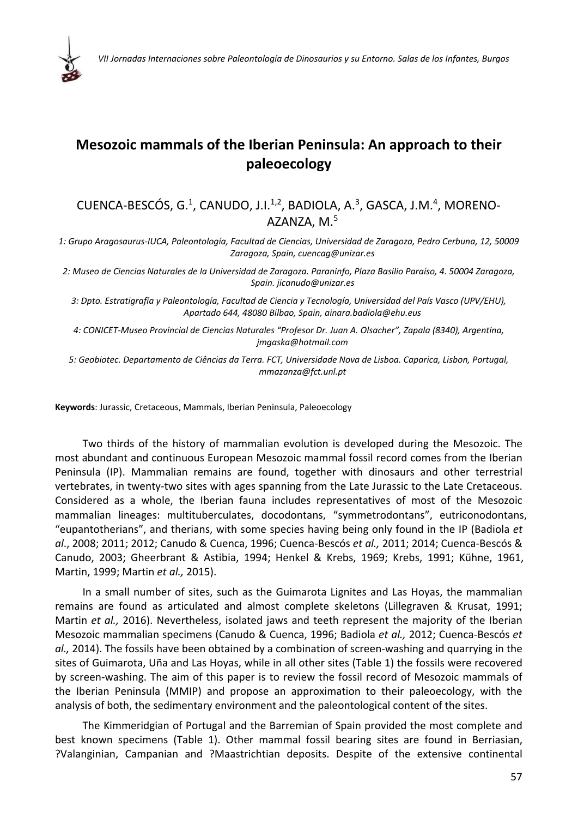

## **Mesozoic mammals of the Iberian Peninsula: An approach to their paleoecology**

## CUENCA-BESCÓS, G.<sup>1</sup>, CANUDO, J.I.<sup>1,2</sup>, BADIOLA, A.<sup>3</sup>, GASCA, J.M.<sup>4</sup>, MORENO-AZANZA, M.5

1: Grupo Aragosaurus-IUCA, Paleontología, Facultad de Ciencias, Universidad de Zaragoza, Pedro Cerbuna, 12, 50009 *Zaragoza, Spain, cuencag@unizar.es*

2: Museo de Ciencias Naturales de la Universidad de Zaragoza. Paraninfo, Plaza Basilio Paraíso, 4. 50004 Zaragoza, *Spain. jicanudo@unizar.es*

*3: Dpto. Estratigrafía y Paleontología, Facultad de Ciencia y Tecnología, Universidad del País Vasco (UPV/EHU), Apartado 644, 48080 Bilbao, Spain, ainara.badiola@ehu.eus*

*4: CONICET‐Museo Provincial de Ciencias Naturales "Profesor Dr. Juan A. Olsacher", Zapala (8340), Argentina, jmgaska@hotmail.com*

*5: Geobiotec. Departamento de Ciências da Terra. FCT, Universidade Nova de Lisboa. Caparica, Lisbon, Portugal, mmazanza@fct.unl.pt*

**Keywords**: Jurassic, Cretaceous, Mammals, Iberian Peninsula, Paleoecology

Two thirds of the history of mammalian evolution is developed during the Mesozoic. The most abundant and continuous European Mesozoic mammal fossil record comes from the Iberian Peninsula (IP). Mammalian remains are found, together with dinosaurs and other terrestrial vertebrates, in twenty‐two sites with ages spanning from the Late Jurassic to the Late Cretaceous. Considered as a whole, the Iberian fauna includes representatives of most of the Mesozoic mammalian lineages: multituberculates, docodontans, "symmetrodontans", eutriconodontans, "eupantotherians", and therians, with some species having being only found in the IP (Badiola *et al*., 2008; 2011; 2012; Canudo & Cuenca, 1996; Cuenca‐Bescós *et al.,* 2011; 2014; Cuenca‐Bescós & Canudo, 2003; Gheerbrant & Astibia, 1994; Henkel & Krebs, 1969; Krebs, 1991; Kühne, 1961, Martin, 1999; Martin *et al.,* 2015).

In a small number of sites, such as the Guimarota Lignites and Las Hoyas, the mammalian remains are found as articulated and almost complete skeletons (Lillegraven & Krusat, 1991; Martin *et al.,* 2016). Nevertheless, isolated jaws and teeth represent the majority of the Iberian Mesozoic mammalian specimens (Canudo & Cuenca, 1996; Badiola *et al.,* 2012; Cuenca‐Bescós *et al.,* 2014). The fossils have been obtained by a combination of screen‐washing and quarrying in the sites of Guimarota, Uña and Las Hoyas, while in all other sites (Table 1) the fossils were recovered by screen‐washing. The aim of this paper is to review the fossil record of Mesozoic mammals of the Iberian Peninsula (MMIP) and propose an approximation to their paleoecology, with the analysis of both, the sedimentary environment and the paleontological content of the sites.

The Kimmeridgian of Portugal and the Barremian of Spain provided the most complete and best known specimens (Table 1). Other mammal fossil bearing sites are found in Berriasian, ?Valanginian, Campanian and ?Maastrichtian deposits. Despite of the extensive continental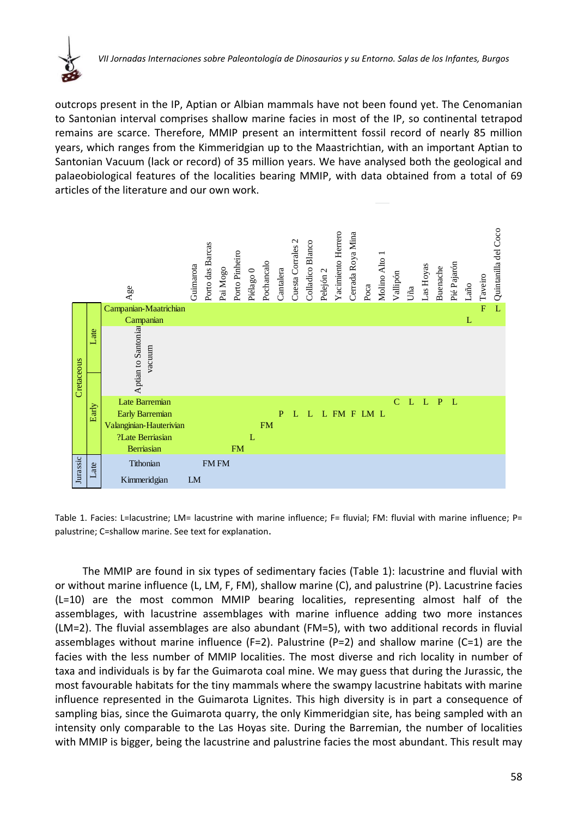

outcrops present in the IP, Aptian or Albian mammals have not been found yet. The Cenomanian to Santonian interval comprises shallow marine facies in most of the IP, so continental tetrapod remains are scarce. Therefore, MMIP present an intermittent fossil record of nearly 85 million years, which ranges from the Kimmeridgian up to the Maastrichtian, with an important Aptian to Santonian Vacuum (lack or record) of 35 million years. We have analysed both the geological and palaeobiological features of the localities bearing MMIP, with data obtained from a total of 69 articles of the literature and our own work.



Table 1. Facies: L=lacustrine: LM= lacustrine with marine influence: F= fluvial: FM: fluvial with marine influence: P= palustrine; C=shallow marine. See text for explanation.

The MMIP are found in six types of sedimentary facies (Table 1): lacustrine and fluvial with or without marine influence (L, LM, F, FM), shallow marine (C), and palustrine (P). Lacustrine facies (L=10) are the most common MMIP bearing localities, representing almost half of the assemblages, with lacustrine assemblages with marine influence adding two more instances (LM=2). The fluvial assemblages are also abundant (FM=5), with two additional records in fluvial assemblages without marine influence (F=2). Palustrine (P=2) and shallow marine (C=1) are the facies with the less number of MMIP localities. The most diverse and rich locality in number of taxa and individuals is by far the Guimarota coal mine. We may guess that during the Jurassic, the most favourable habitats for the tiny mammals where the swampy lacustrine habitats with marine influence represented in the Guimarota Lignites. This high diversity is in part a consequence of sampling bias, since the Guimarota quarry, the only Kimmeridgian site, has being sampled with an intensity only comparable to the Las Hoyas site. During the Barremian, the number of localities